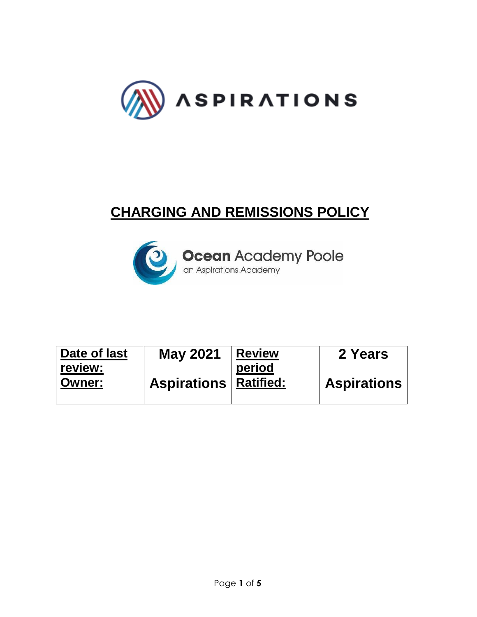

# **CHARGING AND REMISSIONS POLICY**



| Date of last<br>review: | <b>May 2021</b>                | <b>Review</b><br>period | 2 Years            |
|-------------------------|--------------------------------|-------------------------|--------------------|
| <b>Owner:</b>           | <b>Aspirations   Ratified:</b> |                         | <b>Aspirations</b> |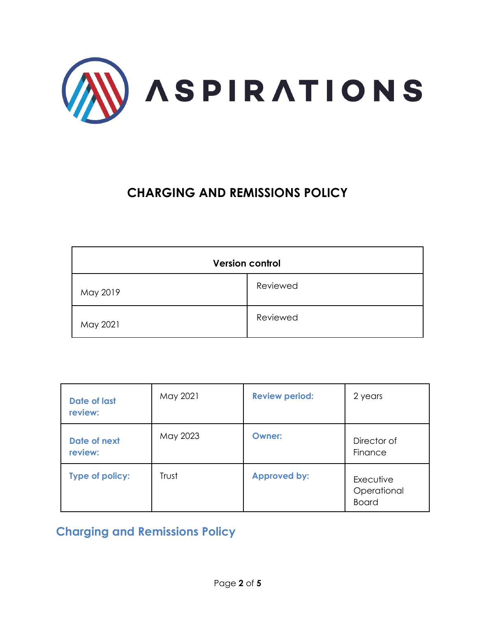

## **CHARGING AND REMISSIONS POLICY**

| <b>Version control</b> |          |  |  |  |
|------------------------|----------|--|--|--|
| May 2019               | Reviewed |  |  |  |
| May 2021               | Reviewed |  |  |  |

| <b>Date of last</b><br>review: | May 2021 | <b>Review period:</b> | 2 years                                  |
|--------------------------------|----------|-----------------------|------------------------------------------|
| Date of next<br>review:        | May 2023 | <b>Owner:</b>         | Director of<br>Finance                   |
| Type of policy:                | Trust    | <b>Approved by:</b>   | Executive<br>Operational<br><b>Board</b> |

### **Charging and Remissions Policy**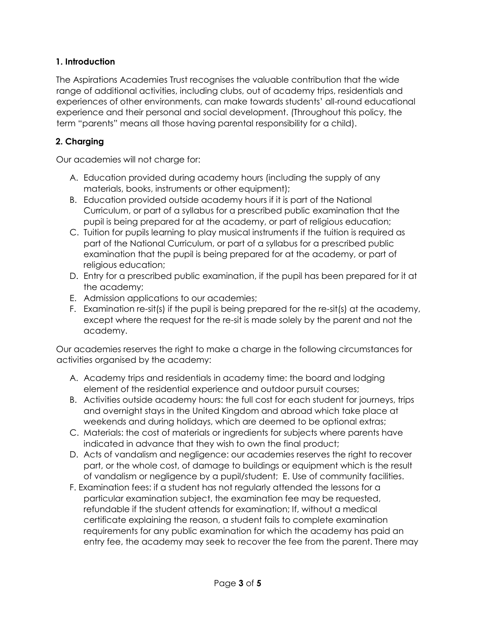#### **1. Introduction**

The Aspirations Academies Trust recognises the valuable contribution that the wide range of additional activities, including clubs, out of academy trips, residentials and experiences of other environments, can make towards students' all-round educational experience and their personal and social development. (Throughout this policy, the term "parents" means all those having parental responsibility for a child).

#### **2. Charging**

Our academies will not charge for:

- A. Education provided during academy hours (including the supply of any materials, books, instruments or other equipment);
- B. Education provided outside academy hours if it is part of the National Curriculum, or part of a syllabus for a prescribed public examination that the pupil is being prepared for at the academy, or part of religious education;
- C. Tuition for pupils learning to play musical instruments if the tuition is required as part of the National Curriculum, or part of a syllabus for a prescribed public examination that the pupil is being prepared for at the academy, or part of religious education;
- D. Entry for a prescribed public examination, if the pupil has been prepared for it at the academy;
- E. Admission applications to our academies;
- F. Examination re-sit(s) if the pupil is being prepared for the re-sit(s) at the academy, except where the request for the re-sit is made solely by the parent and not the academy.

Our academies reserves the right to make a charge in the following circumstances for activities organised by the academy:

- A. Academy trips and residentials in academy time: the board and lodging element of the residential experience and outdoor pursuit courses;
- B. Activities outside academy hours: the full cost for each student for journeys, trips and overnight stays in the United Kingdom and abroad which take place at weekends and during holidays, which are deemed to be optional extras;
- C. Materials: the cost of materials or ingredients for subjects where parents have indicated in advance that they wish to own the final product;
- D. Acts of vandalism and negligence: our academies reserves the right to recover part, or the whole cost, of damage to buildings or equipment which is the result of vandalism or negligence by a pupil/student; E. Use of community facilities.
- F. Examination fees: if a student has not regularly attended the lessons for a particular examination subject, the examination fee may be requested, refundable if the student attends for examination; If, without a medical certificate explaining the reason, a student fails to complete examination requirements for any public examination for which the academy has paid an entry fee, the academy may seek to recover the fee from the parent. There may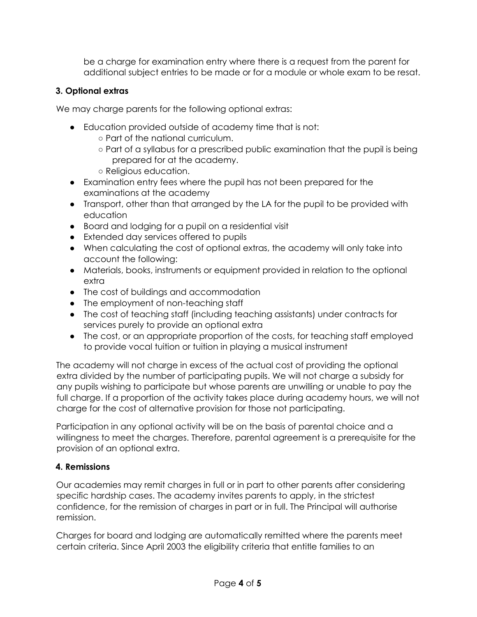be a charge for examination entry where there is a request from the parent for additional subject entries to be made or for a module or whole exam to be resat.

#### **3. Optional extras**

We may charge parents for the following optional extras:

- Education provided outside of academy time that is not:
	- Part of the national curriculum.
	- Part of a syllabus for a prescribed public examination that the pupil is being prepared for at the academy.
	- Religious education.
- Examination entry fees where the pupil has not been prepared for the examinations at the academy
- Transport, other than that arranged by the LA for the pupil to be provided with education
- Board and lodging for a pupil on a residential visit
- Extended day services offered to pupils
- When calculating the cost of optional extras, the academy will only take into account the following:
- Materials, books, instruments or equipment provided in relation to the optional extra
- The cost of buildings and accommodation
- The employment of non-teaching staff
- The cost of teaching staff (including teaching assistants) under contracts for services purely to provide an optional extra
- The cost, or an appropriate proportion of the costs, for teaching staff employed to provide vocal tuition or tuition in playing a musical instrument

The academy will not charge in excess of the actual cost of providing the optional extra divided by the number of participating pupils. We will not charge a subsidy for any pupils wishing to participate but whose parents are unwilling or unable to pay the full charge. If a proportion of the activity takes place during academy hours, we will not charge for the cost of alternative provision for those not participating.

Participation in any optional activity will be on the basis of parental choice and a willingness to meet the charges. Therefore, parental agreement is a prerequisite for the provision of an optional extra.

#### **4. Remissions**

Our academies may remit charges in full or in part to other parents after considering specific hardship cases. The academy invites parents to apply, in the strictest confidence, for the remission of charges in part or in full. The Principal will authorise remission.

Charges for board and lodging are automatically remitted where the parents meet certain criteria. Since April 2003 the eligibility criteria that entitle families to an